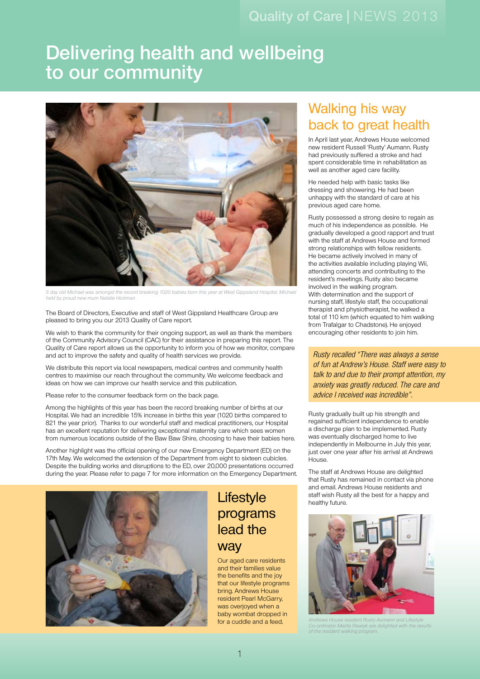### Quality of Care | NEWS 2013

# Delivering health and wellbeing to our community



5 day old Michael was amongst the record breaking 1020 babies born this year at West Gippsland Hospital. Michael held by proud new mum Natalie Hickman

The Board of Directors, Executive and staff of West Gippsland Healthcare Group are pleased to bring you our 2013 Quality of Care report.

We wish to thank the community for their ongoing support, as well as thank the members of the Community Advisory Council (CAC) for their assistance in preparing this report. The Quality of Care report allows us the opportunity to inform you of how we monitor, compare and act to improve the safety and quality of health services we provide.

We distribute this report via local newspapers, medical centres and community health centres to maximise our reach throughout the community. We welcome feedback and ideas on how we can improve our health service and this publication.

Please refer to the consumer feedback form on the back page.

Among the highlights of this year has been the record breaking number of births at our Hospital. We had an incredible 15% increase in births this year (1020 births compared to 821 the year prior). Thanks to our wonderful staff and medical practitioners, our Hospital has an excellent reputation for delivering exceptional maternity care which sees women from numerous locations outside of the Baw Baw Shire, choosing to have their babies here.

Another highlight was the official opening of our new Emergency Department (ED) on the 17th May. We welcomed the extension of the Department from eight to sixteen cubicles. Despite the building works and disruptions to the ED, over 20,000 presentations occurred during the year. Please refer to page 7 for more information on the Emergency Department.



### **Lifestyle** programs lead the **way**

Our aged care residents and their families value the benefits and the joy that our lifestyle programs bring. Andrews House resident Pearl McGarry, was overjoyed when a baby wombat dropped in for a cuddle and a feed.

### Walking his way back to great health

In April last year, Andrews House welcomed new resident Russell 'Rusty' Aumann. Rusty had previously suffered a stroke and had spent considerable time in rehabilitation as well as another aged care facility.

He needed help with basic tasks like dressing and showering. He had been unhappy with the standard of care at his previous aged care home.

Rusty possessed a strong desire to regain as much of his independence as possible. He gradually developed a good rapport and trust with the staff at Andrews House and formed strong relationships with fellow residents. He became actively involved in many of the activities available including playing Wii, attending concerts and contributing to the resident's meetings. Rusty also became involved in the walking program. With determination and the support of nursing staff, lifestyle staff, the occupational therapist and physiotherapist, he walked a total of 110 km (which equated to him walking from Trafalgar to Chadstone). He enjoyed encouraging other residents to join him.

*Rusty recalled "There was always a sense of fun at Andrew's House. Staff were easy to talk to and due to their prompt attention, my anxiety was greatly reduced. The care and advice I received was incredible".*

Rusty gradually built up his strength and regained sufficient independence to enable a discharge plan to be implemented. Rusty was eventually discharged home to live independently in Melbourne in July this year, just over one year after his arrival at Andrews House.

The staff at Andrews House are delighted that Rusty has remained in contact via phone and email. Andrews House residents and staff wish Rusty all the best for a happy and healthy future.



**Andrews House Aumann and Lifestyle** ator Merita Rawlyk are delighted with the result mattent walking program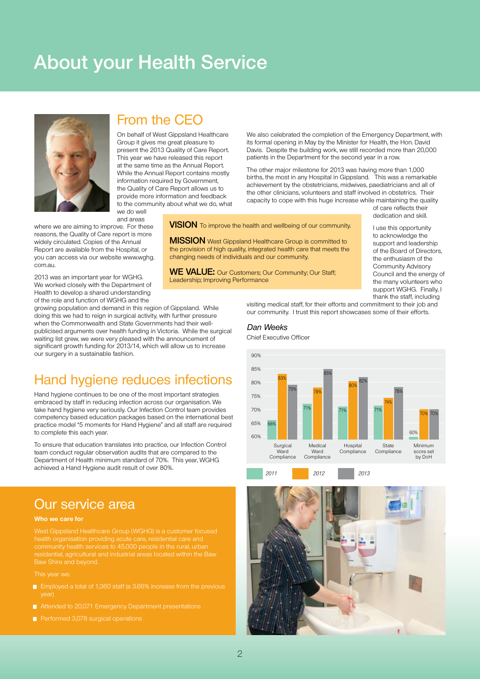# About your Health Service



#### From the CEO

On behalf of West Gippsland Healthcare Group it gives me great pleasure to present the 2013 Quality of Care Report. This year we have released this report at the same time as the Annual Report. While the Annual Report contains mostly information required by Government, the Quality of Care Report allows us to provide more information and feedback to the community about what we do, what we do well

and areas

where we are aiming to improve. For these reasons, the Quality of Care report is more widely circulated. Copies of the Annual Report are available from the Hospital, or you can access via our website www.wghg. com.au.

2013 was an important year for WGHG. We worked closely with the Department of Health to develop a shared understanding of the role and function of WGHG and the

growing population and demand in this region of Gippsland. While doing this we had to reign in surgical activity, with further pressure when the Commonwealth and State Governments had their wellpublicised arguments over health funding in Victoria. While the surgical waiting list grew, we were very pleased with the announcement of significant growth funding for 2013/14, which will allow us to increase our surgery in a sustainable fashion.

### Hand hygiene reduces infections

Hand hygiene continues to be one of the most important strategies embraced by staff in reducing infection across our organisation. We take hand hygiene very seriously. Our Infection Control team provides competency based education packages based on the international best practice model "5 moments for Hand Hygiene" and all staff are required to complete this each year.

To ensure that education translates into practice, our Infection Control team conduct regular observation audits that are compared to the Department of Health minimum standard of 70%. This year, WGHG achieved a Hand Hygiene audit result of over 80%.

#### Our service area

#### **Who we care for**

community health services to 45,000 people in the rural, urban residential, agricultural and industrial areas located within the Baw Baw Shire and beyond.

This year we:

- **•** Employed a total of 1,360 staff (a 3.66% increase from the previous
- Attended to 20,071 Emergency Department presentations
- Performed 3,078 surgical operations

We also celebrated the completion of the Emergency Department, with its formal opening in May by the Minister for Health, the Hon. David Davis. Despite the building work, we still recorded more than 20,000 patients in the Department for the second year in a row.

The other major milestone for 2013 was having more than 1,000 births, the most in any Hospital in Gippsland. This was a remarkable achievement by the obstetricians, midwives, paediatricians and all of the other clinicians, volunteers and staff involved in obstetrics. Their capacity to cope with this huge increase while maintaining the quality

> of care reflects their dedication and skill.

I use this opportunity to acknowledge the support and leadership of the Board of Directors, the enthusiasm of the Community Advisory Council and the energy of the many volunteers who support WGHG. Finally, I thank the staff, including

visiting medical staff, for their efforts and commitment to their job and our community. I trust this report showcases some of their efforts.

#### Dan Weeks

**VISION** To improve the health and wellbeing of our community.

**MISSION** West Gippsland Healthcare Group is committed to the provision of high quality, integrated health care that meets the

**We value:** Our Customers; Our Community; Our Staff;

changing needs of individuals and our community.

Leadership; Improving Performance

Chief Executive Officer





*2011 2012 2013*

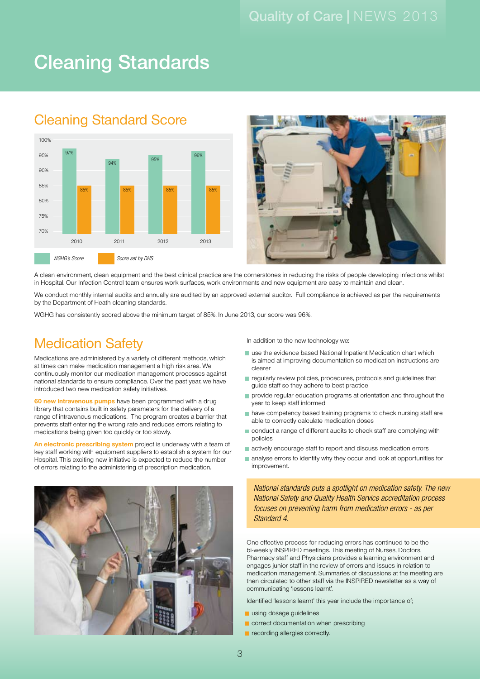# Cleaning Standards

### Cleaning Standard Score





A clean environment, clean equipment and the best clinical practice are the cornerstones in reducing the risks of people developing infections whilst in Hospital. Our Infection Control team ensures work surfaces, work environments and new equipment are easy to maintain and clean.

We conduct monthly internal audits and annually are audited by an approved external auditor. Full compliance is achieved as per the requirements by the Department of Heath cleaning standards.

WGHG has consistently scored above the minimum target of 85%. In June 2013, our score was 96%.

### **Medication Safety**

Medications are administered by a variety of different methods, which at times can make medication management a high risk area. We continuously monitor our medication management processes against national standards to ensure compliance. Over the past year, we have introduced two new medication safety initiatives.

**60 new intravenous pumps** have been programmed with a drug library that contains built in safety parameters for the delivery of a range of intravenous medications. The program creates a barrier that prevents staff entering the wrong rate and reduces errors relating to medications being given too quickly or too slowly.

**An electronic prescribing system** project is underway with a team of key staff working with equipment suppliers to establish a system for our Hospital. This exciting new initiative is expected to reduce the number of errors relating to the administering of prescription medication.



In addition to the new technology we:

- **•** use the evidence based National Inpatient Medication chart which is aimed at improving documentation so medication instructions are clearer
- **•** regularly review policies, procedures, protocols and guidelines that guide staff so they adhere to best practice
- **•** provide regular education programs at orientation and throughout the year to keep staff informed
- **•** have competency based training programs to check nursing staff are able to correctly calculate medication doses
- **•** conduct a range of different audits to check staff are complying with policies
- **•** actively encourage staff to report and discuss medication errors
- **•** analyse errors to identify why they occur and look at opportunities for improvement.

*National standards puts a spotlight on medication safety. The new National Safety and Quality Health Service accreditation process focuses on preventing harm from medication errors - as per Standard 4.*

One effective process for reducing errors has continued to be the bi-weekly INSPIRED meetings. This meeting of Nurses, Doctors, Pharmacy staff and Physicians provides a learning environment and engages junior staff in the review of errors and issues in relation to medication management. Summaries of discussions at the meeting are then circulated to other staff via the INSPIRED newsletter as a way of communicating 'lessons learnt'.

Identified 'lessons learnt' this year include the importance of;

- **a** using dosage guidelines
- **•** correct documentation when prescribing
- **•** recording allergies correctly.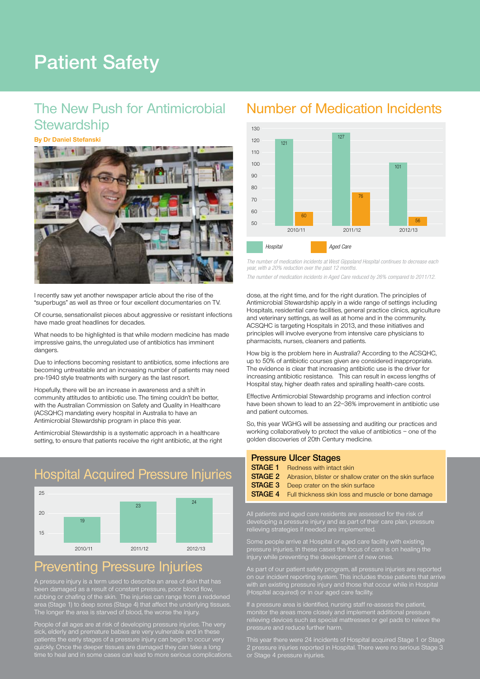# Patient Safety

### The New Push for Antimicrobial **Stewardship**

#### **By Dr Daniel Stefanski**



I recently saw yet another newspaper article about the rise of the "superbugs" as well as three or four excellent documentaries on TV.

Of course, sensationalist pieces about aggressive or resistant infections have made great headlines for decades.

What needs to be highlighted is that while modern medicine has made impressive gains, the unregulated use of antibiotics has imminent dangers.

Due to infections becoming resistant to antibiotics, some infections are becoming untreatable and an increasing number of patients may need pre-1940 style treatments with surgery as the last resort.

Hopefully, there will be an increase in awareness and a shift in community attitudes to antibiotic use. The timing couldn't be better, with the Australian Commission on Safety and Quality in Healthcare (ACSQHC) mandating every hospital in Australia to have an Antimicrobial Stewardship program in place this year.

Antimicrobial Stewardship is a systematic approach in a healthcare setting, to ensure that patients receive the right antibiotic, at the right

### Hospital Acquired Pressure Injuries



#### Preventing Pressure Injuries

been damaged as a result of constant pressure, poor blood flow, rubbing or chafing of the skin. The injuries can range from a reddened area (Stage 1) to deep sores (Stage 4) that affect the underlying tissues.

People of all ages are at risk of developing pressure injuries. The very patients the early stages of a pressure injury can begin to occur very quickly. Once the deeper tissues are damaged they can take a long time to heal and in some cases can lead to more serious complications.

#### Number of Medication Incidents



*The number of medication incidents at West Gippsland Hospital continues to decrease each year, with a 20% reduction over the past 12 months.*

*The number of medication incidents in Aged Care reduced by 26% compared to 2011/12.*

dose, at the right time, and for the right duration. The principles of Antimicrobial Stewardship apply in a wide range of settings including Hospitals, residential care facilities, general practice clinics, agriculture and veterinary settings, as well as at home and in the community. ACSQHC is targeting Hospitals in 2013, and these initiatives and principles will involve everyone from intensive care physicians to pharmacists, nurses, cleaners and patients.

How big is the problem here in Australia? According to the ACSQHC, up to 50% of antibiotic courses given are considered inappropriate. The evidence is clear that increasing antibiotic use is the driver for increasing antibiotic resistance. This can result in excess lengths of Hospital stay, higher death rates and spiralling health-care costs.

Effective Antimicrobial Stewardship programs and infection control have been shown to lead to an 22–36% improvement in antibiotic use and patient outcomes.

So, this year WGHG will be assessing and auditing our practices and working collaboratively to protect the value of antibiotics – one of the golden discoveries of 20th Century medicine.

#### **Pressure Ulcer Stages**

- **STAGE 1** Redness with intact skin<br>**STAGE 2** Abrasion blister or shall
- **STAGE 2** Abrasion, blister or shallow crater on the skin surface<br>**STAGE 3** Deep crater on the skin surface
	- Deep crater on the skin surface
- **Stage 4** Full thickness skin loss and muscle or bone damage

All patients and aged care residents are assessed for the risk of developing a pressure injury and as part of their care plan, pressure relieving strategies if needed are implemented.

Some people arrive at Hospital or aged care facility with existing pressure injuries. In these cases the focus of care is on healing the injury while preventing the development of new ones.

As part of our patient safety program, all pressure injuries are reported on our incident reporting system. This includes those patients that arrive with an existing pressure injury and those that occur while in Hospital (Hospital acquired) or in our aged care facility.

If a pressure area is identified, nursing staff re-assess the patient, monitor the areas more closely and implement additional pressure relieving devices such as special mattresses or gel pads to relieve the

This year there were 24 incidents of Hospital acquired Stage 1 or Stage 2 pressure injuries reported in Hospital. There were no serious Stage 3 or Stage 4 pressure injuries.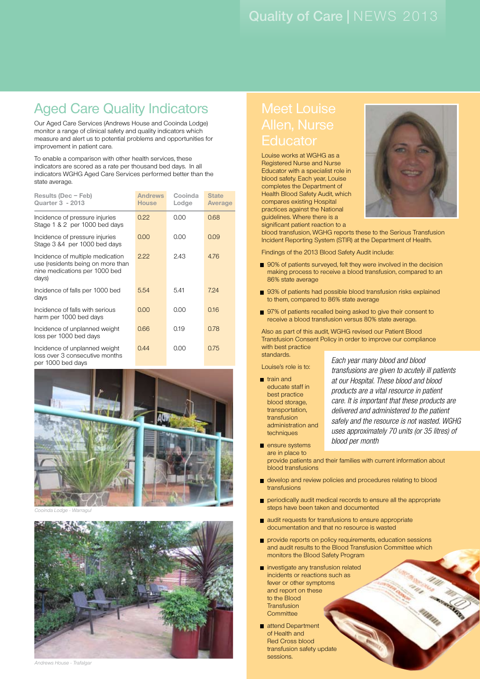### Aged Care Quality Indicators

Our Aged Care Services (Andrews House and Cooinda Lodge) monitor a range of clinical safety and quality indicators which measure and alert us to potential problems and opportunities for improvement in patient care.

To enable a comparison with other health services, these indicators are scored as a rate per thousand bed days. In all indicators WGHG Aged Care Services performed better than the state average.

| Results (Dec - Feb)<br><b>Quarter 3 - 2013</b>                                                                  | <b>Andrews</b><br><b>House</b> | Cooinda<br>Lodge | <b>State</b><br>Average |
|-----------------------------------------------------------------------------------------------------------------|--------------------------------|------------------|-------------------------|
| Incidence of pressure injuries<br>Stage 1 & 2 per 1000 bed days                                                 | 0.22                           | 0.00             | 0.68                    |
| Incidence of pressure injuries<br>Stage 3 &4 per 1000 bed days                                                  | 0.00                           | 0.00             | 0.09                    |
| Incidence of multiple medication<br>use (residents being on more than<br>nine medications per 1000 bed<br>days) | 2.22                           | 2.43             | 4.76                    |
| Incidence of falls per 1000 bed<br>days                                                                         | 5.54                           | 5.41             | 7.24                    |
| Incidence of falls with serious<br>harm per 1000 bed days                                                       | 0.00                           | 0.00             | 0.16                    |
| Incidence of unplanned weight<br>loss per 1000 bed days                                                         | 0.66                           | 0.19             | 0.78                    |
| Incidence of unplanned weight<br>loss over 3 consecutive months<br>per 1000 bed days                            | 0.44                           | 0.00             | 0.75                    |



Cooinda Lodge - Warragul



# Meet Louise

Louise works at WGHG as a Registered Nurse and Nurse Educator with a specialist role in blood safety. Each year, Louise completes the Department of Health Blood Safety Audit, which compares existing Hospital practices against the National guidelines. Where there is a significant patient reaction to a



blood transfusion, WGHG reports these to the Serious Transfusion Incident Reporting System (STIR) at the Department of Health.

Findings of the 2013 Blood Safety Audit include:

- 90% of patients surveyed, felt they were involved in the decision making process to receive a blood transfusion, compared to an 86% state average
- 93% of patients had possible blood transfusion risks explained to them, compared to 86% state average
- $\blacksquare$  97% of patients recalled being asked to give their consent to receive a blood transfusion versus 80% state average.

Also as part of this audit, WGHG revised our Patient Blood Transfusion Consent Policy in order to improve our compliance with best practice standards.

Louise's role is to:

**a** train and educate staff in best practice blood storage, transportation, transfusion administration and techniques

*Each year many blood and blood transfusions are given to acutely ill patients at our Hospital. These blood and blood products are a vital resource in patient care. It is important that these products are delivered and administered to the patient safely and the resource is not wasted. WGHG uses approximately 70 units (or 35 litres) of blood per month*

- **a** ensure systems are in place to provide patients and their families with current information about blood transfusions
- **a** develop and review policies and procedures relating to blood transfusions
- **•** periodically audit medical records to ensure all the appropriate steps have been taken and documented
- **a** audit requests for transfusions to ensure appropriate documentation and that no resource is wasted
- **•** provide reports on policy requirements, education sessions and audit results to the Blood Transfusion Committee which monitors the Blood Safety Program
- **•** investigate any transfusion related incidents or reactions such as fever or other symptoms and report on these to the Blood **Transfusion Committee**
- **a** attend Department of Health and Red Cross blood transfusion safety update sessions.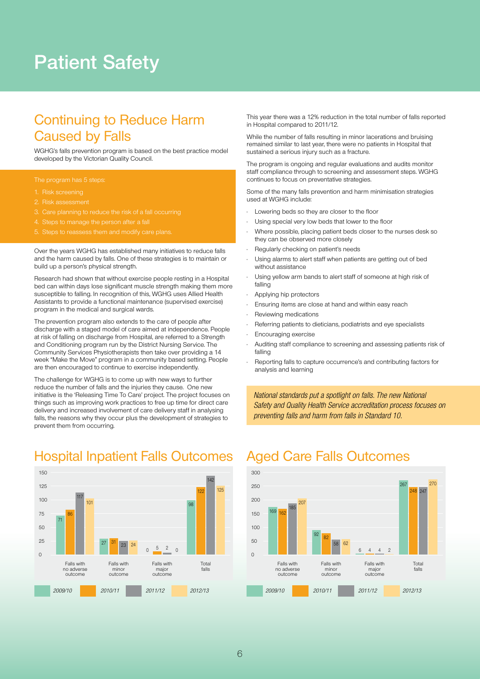# Patient Safety

### Continuing to Reduce Harm Caused by Falls

WGHG's falls prevention program is based on the best practice model developed by the Victorian Quality Council.

- 1. Risk screening
- 2. Risk assessment
- Care planning to reduce the risk of a fall occurring
- Steps to manage the person after a fall
- 

Over the years WGHG has established many initiatives to reduce falls and the harm caused by falls. One of these strategies is to maintain or build up a person's physical strength.

Research had shown that without exercise people resting in a Hospital bed can within days lose significant muscle strength making them more susceptible to falling. In recognition of this, WGHG uses Allied Health Assistants to provide a functional maintenance (supervised exercise) program in the medical and surgical wards.

The prevention program also extends to the care of people after discharge with a staged model of care aimed at independence. People at risk of falling on discharge from Hospital, are referred to a Strength and Conditioning program run by the District Nursing Service. The Community Services Physiotherapists then take over providing a 14 week "Make the Move" program in a community based setting. People are then encouraged to continue to exercise independently.

The challenge for WGHG is to come up with new ways to further reduce the number of falls and the injuries they cause. One new initiative is the 'Releasing Time To Care' project. The project focuses on things such as improving work practices to free up time for direct care delivery and increased involvement of care delivery staff in analysing falls, the reasons why they occur plus the development of strategies to prevent them from occurring.

*2009/10 2010/11 2011/12 2012/13* 150 125 100 75 50 25  $\Omega$ Falls with Falls with Falls with Total<br>no adverse minor major falls no adverse minor<br>outcome outcome outcome outcome outcome 71 27  $\frac{5}{2}$  2 0 86 31 117 101 24 98 122 142 125

#### Hospital Inpatient Falls Outcomes

This year there was a 12% reduction in the total number of falls reported in Hospital compared to 2011/12.

While the number of falls resulting in minor lacerations and bruising remained similar to last year, there were no patients in Hospital that sustained a serious injury such as a fracture.

The program is ongoing and regular evaluations and audits monitor staff compliance through to screening and assessment steps. WGHG continues to focus on preventative strategies.

Some of the many falls prevention and harm minimisation strategies used at WGHG include:

- • Lowering beds so they are closer to the floor
- Using special very low beds that lower to the floor
- Where possible, placing patient beds closer to the nurses desk so they can be observed more closely
- • Regularly checking on patient's needs
- Using alarms to alert staff when patients are getting out of bed without assistance
- • Using yellow arm bands to alert staff of someone at high risk of falling
- Applying hip protectors
- • Ensuring items are close at hand and within easy reach
- Reviewing medications
- Referring patients to dieticians, podiatrists and eye specialists
- **Encouraging exercise**
- Auditing staff compliance to screening and assessing patients risk of falling
- Reporting falls to capture occurrence's and contributing factors for analysis and learning

*National standards put a spotlight on falls. The new National Safety and Quality Health Service accreditation process focuses on preventing falls and harm from falls in Standard 10.*



#### Aged Care Falls Outcomes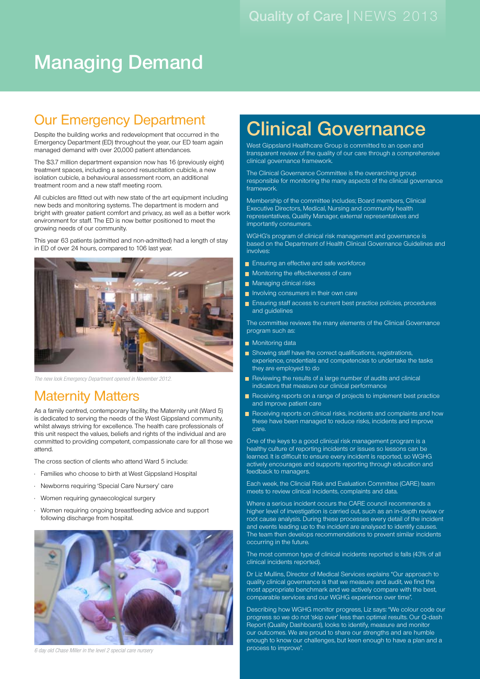# Managing Demand

### Our Emergency Department

Despite the building works and redevelopment that occurred in the Emergency Department (ED) throughout the year, our ED team again managed demand with over 20,000 patient attendances.

The \$3.7 million department expansion now has 16 (previously eight) treatment spaces, including a second resuscitation cubicle, a new isolation cubicle, a behavioural assessment room, an additional treatment room and a new staff meeting room.

All cubicles are fitted out with new state of the art equipment including new beds and monitoring systems. The department is modern and bright with greater patient comfort and privacy, as well as a better work environment for staff. The ED is now better positioned to meet the growing needs of our community.

This year 63 patients (admitted and non-admitted) had a length of stay in ED of over 24 hours, compared to 106 last year.



*The new look Emergency Department opened in November 2012.*

#### Maternity Matters

As a family centred, contemporary facility, the Maternity unit (Ward 5) is dedicated to serving the needs of the West Gippsland community, whilst always striving for excellence. The health care professionals of this unit respect the values, beliefs and rights of the individual and are committed to providing competent, compassionate care for all those we attend.

The cross section of clients who attend Ward 5 include:

- • Families who choose to birth at West Gippsland Hospital
- • Newborns requiring 'Special Care Nursery' care
- • Women requiring gynaecological surgery
- • Women requiring ongoing breastfeeding advice and support following discharge from hospital.



*6 day old Chase Miller in the level 2 special care nursery*

# Clinical Governance

West Gippsland Healthcare Group is committed to an open and transparent review of the quality of our care through a comprehensive clinical governance framework.

The Clinical Governance Committee is the overarching group responsible for monitoring the many aspects of the clinical governance framework.

Membership of the committee includes; Board members, Clinical Executive Directors, Medical, Nursing and community health representatives, Quality Manager, external representatives and importantly consumers.

WGHG's program of clinical risk management and governance is based on the Department of Health Clinical Governance Guidelines and involves:

- Ensuring an effective and safe workforce
- Monitoring the effectiveness of care
- Managing clinical risks
- Involving consumers in their own care
- **•** Ensuring staff access to current best practice policies, procedures and guidelines

The committee reviews the many elements of the Clinical Governance program such as:

- Monitoring data
- Showing staff have the correct qualifications, registrations, experience, credentials and competencies to undertake the tasks they are employed to do
- Reviewing the results of a large number of audits and clinical indicators that measure our clinical performance
- Receiving reports on a range of projects to implement best practice and improve patient care
- **•** Receiving reports on clinical risks, incidents and complaints and how these have been managed to reduce risks, incidents and improve care.

One of the keys to a good clinical risk management program is a healthy culture of reporting incidents or issues so lessons can be learned. It is difficult to ensure every incident is reported, so WGHG actively encourages and supports reporting through education and feedback to managers.

Each week, the Clincial Risk and Evaluation Committee (CARE) team meets to review clinical incidents, complaints and data.

Where a serious incident occurs the CARE council recommends a higher level of investigation is carried out, such as an in-depth review or root cause analysis. During these processes every detail of the incident and events leading up to the incident are analysed to identify causes. The team then develops recommendations to prevent similar incidents occurring in the future.

The most common type of clinical incidents reported is falls (43% of all clinical incidents reported).

Dr Liz Mullins, Director of Medical Services explains "Our approach to quality clinical governance is that we measure and audit, we find the most appropriate benchmark and we actively compare with the best, comparable services and our WGHG experience over time".

Describing how WGHG monitor progress, Liz says: "We colour code our progress so we do not 'skip over' less than optimal results. Our Q-dash Report (Quality Dashboard), looks to identify, measure and monitor our outcomes. We are proud to share our strengths and are humble enough to know our challenges, but keen enough to have a plan and a process to improve".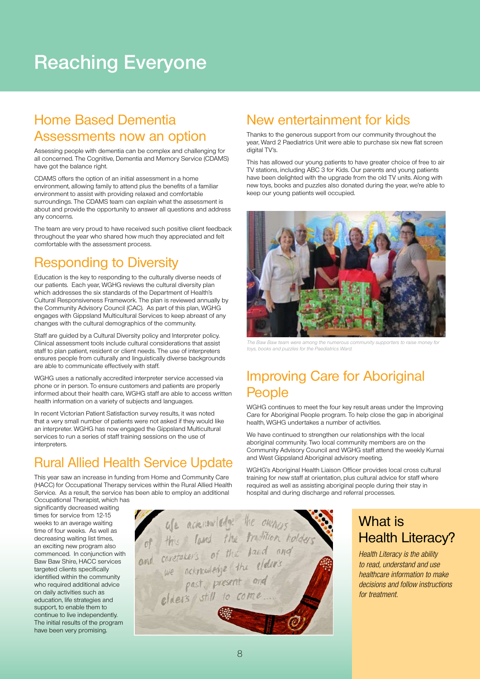# Reaching Everyone

#### Home Based Dementia Assessments now an option

Assessing people with dementia can be complex and challenging for all concerned. The Cognitive, Dementia and Memory Service (CDAMS) have got the balance right.

CDAMS offers the option of an initial assessment in a home environment, allowing family to attend plus the benefits of a familiar environment to assist with providing relaxed and comfortable surroundings. The CDAMS team can explain what the assessment is about and provide the opportunity to answer all questions and address any concerns.

The team are very proud to have received such positive client feedback throughout the year who shared how much they appreciated and felt comfortable with the assessment process.

### Responding to Diversity

Education is the key to responding to the culturally diverse needs of our patients. Each year, WGHG reviews the cultural diversity plan which addresses the six standards of the Department of Health's Cultural Responsiveness Framework. The plan is reviewed annually by the Community Advisory Council (CAC). As part of this plan, WGHG engages with Gippsland Multicultural Services to keep abreast of any changes with the cultural demographics of the community.

Staff are guided by a Cultural Diversity policy and Interpreter policy. Clinical assessment tools include cultural considerations that assist staff to plan patient, resident or client needs. The use of interpreters ensures people from culturally and linguistically diverse backgrounds are able to communicate effectively with staff.

WGHG uses a nationally accredited interpreter service accessed via phone or in person. To ensure customers and patients are properly informed about their health care, WGHG staff are able to access written health information on a variety of subjects and languages.

In recent Victorian Patient Satisfaction survey results, it was noted that a very small number of patients were not asked if they would like an interpreter. WGHG has now engaged the Gippsland Multicultural services to run a series of staff training sessions on the use of interpreters.

#### Rural Allied Health Service Update

This year saw an increase in funding from Home and Community Care (HACC) for Occupational Therapy services within the Rural Allied Health Service. As a result, the service has been able to employ an additional Occupational Therapist, which has

significantly decreased waiting times for service from 12-15 weeks to an average waiting time of four weeks. As well as decreasing waiting list times, an exciting new program also commenced. In conjunction with Baw Baw Shire, HACC services targeted clients specifically identified within the community who required additional advice on daily activities such as education, life strategies and support, to enable them to continue to live independently. The initial results of the program

have been very promising.



### New entertainment for kids

Thanks to the generous support from our community throughout the year, Ward 2 Paediatrics Unit were able to purchase six new flat screen digital TV's.

This has allowed our young patients to have greater choice of free to air TV stations, including ABC 3 for Kids. Our parents and young patients have been delighted with the upgrade from the old TV units. Along with new toys, books and puzzles also donated during the year, we're able to keep our young patients well occupied.



The Baw Baw team were among the numerous community supporters to raise money for toys, books and puzzles for the Paediatrics Ward.

### Improving Care for Aboriginal **People**

WGHG continues to meet the four key result areas under the Improving Care for Aboriginal People program. To help close the gap in aboriginal health, WGHG undertakes a number of activities.

We have continued to strengthen our relationships with the local aboriginal community. Two local community members are on the Community Advisory Council and WGHG staff attend the weekly Kurnai and West Gippsland Aboriginal advisory meeting.

WGHG's Aboriginal Health Liaison Officer provides local cross cultural training for new staff at orientation, plus cultural advice for staff where required as well as assisting aboriginal people during their stay in hospital and during discharge and referral processes.

### What is Health Literacy?

*Health Literacy is the ability to read, understand and use healthcare information to make decisions and follow instructions for treatment.*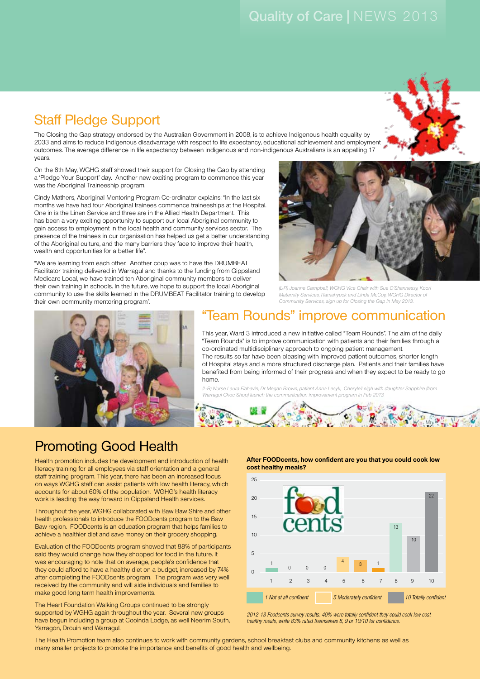### Staff Pledge Support

The Closing the Gap strategy endorsed by the Australian Government in 2008, is to achieve Indigenous health equality by 2033 and aims to reduce Indigenous disadvantage with respect to life expectancy, educational achievement and employment outcomes. The average difference in life expectancy between indigenous and non-indigenous Australians is an appalling 17 years.

On the 8th May, WGHG staff showed their support for Closing the Gap by attending a 'Pledge Your Support' day. Another new exciting program to commence this year was the Aboriginal Traineeship program.

Cindy Mathers, Aboriginal Mentoring Program Co-ordinator explains: "In the last six months we have had four Aboriginal trainees commence traineeships at the Hospital. One in is the Linen Service and three are in the Allied Health Department. This has been a very exciting opportunity to support our local Aboriginal community to gain access to employment in the local health and community services sector. The presence of the trainees in our organisation has helped us get a better understanding of the Aboriginal culture, and the many barriers they face to improve their health, wealth and opportunities for a better life".

"We are learning from each other. Another coup was to have the DRUMBEAT Facilitator training delivered in Warragul and thanks to the funding from Gippsland Medicare Local, we have trained ten Aboriginal community members to deliver their own training in schools. In the future, we hope to support the local Aboriginal community to use the skills learned in the DRUMBEAT Facilitator training to develop their own community mentoring program".



**bruggers** 

### "Team Rounds" improve communication

(L-R) Joanne Campbell, WGHG Vice Chair with Sue O'Shannessy, Koori Maternity Services, Ramahyuck and Linda McCoy, WGHG Director of Community Services, sign up for Closing the Gap in May 2013.

This year, Ward 3 introduced a new initiative called "Team Rounds". The aim of the daily "Team Rounds" is to improve communication with patients and their families through a co-ordinated multidisciplinary approach to ongoing patient management. The results so far have been pleasing with improved patient outcomes, shorter length of Hospital stays and a more structured discharge plan. Patients and their families have benefited from being informed of their progress and when they expect to be ready to go home.

(L-R) Nurse Laura Flahavin, Dr Megan Brown, patient Anna Lesyk, Cheryle'Leigh with daughter Sapphire (from Warragul Choc Shop) launch the communication improvement program in Feb 2013.

 $\mathcal{R}$ 

### Promoting Good Health

Health promotion includes the development and introduction of health literacy training for all employees via staff orientation and a general staff training program. This year, there has been an increased focus on ways WGHG staff can assist patients with low health literacy, which accounts for about 60% of the population. WGHG's health literacy work is leading the way forward in Gippsland Health services.

Throughout the year, WGHG collaborated with Baw Baw Shire and other health professionals to introduce the FOODcents program to the Baw Baw region. FOODcents is an education program that helps families to achieve a healthier diet and save money on their grocery shopping.

Evaluation of the FOODcents program showed that 88% of participants said they would change how they shopped for food in the future. It was encouraging to note that on average, people's confidence that they could afford to have a healthy diet on a budget, increased by 74% after completing the FOODcents program. The program was very well received by the community and will aide individuals and families to make good long term health improvements.

The Heart Foundation Walking Groups continued to be strongly supported by WGHG again throughout the year. Several new groups have begun including a group at Cooinda Lodge, as well Neerim South, Yarragon, Drouin and Warragul.

**After FOODcents, how confident are you that you could cook low cost healthy meals?**



*2012-13 Foodcents survey results. 40% were totally confident they could cook low cost healthy meals, while 83% rated themselves 8, 9 or 10/10 for confidence.*

The Health Promotion team also continues to work with community gardens, school breakfast clubs and community kitchens as well as many smaller projects to promote the importance and benefits of good health and wellbeing.

12.

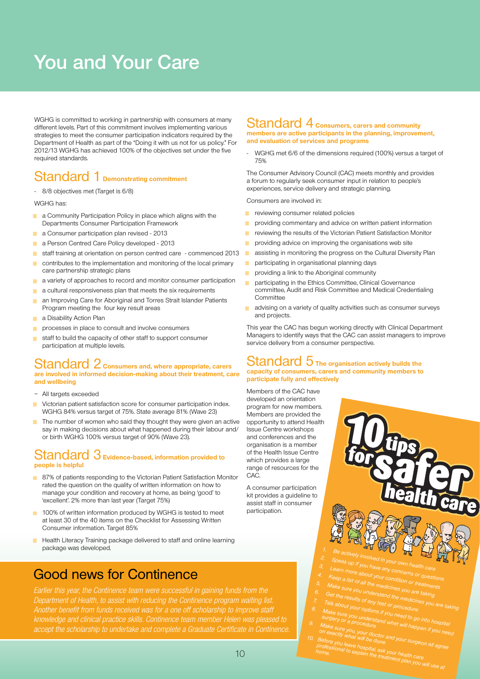# You and Your Care

WGHG is committed to working in partnership with consumers at many different levels. Part of this commitment involves implementing various strategies to meet the consumer participation indicators required by the Department of Health as part of the "Doing it with us not for us policy." For 2012/13 WGHG has achieved 100% of the objectives set under the five required standards.

#### Standard 1 **Demonstrating commitment**

- 8/8 objectives met (Target is 6/8)

WGHG has:

- **•** a Community Participation Policy in place which aligns with the Departments Consumer Participation Framework
- a Consumer participation plan revised 2013
- **a** a Person Centred Care Policy developed 2013
- **•** staff training at orientation on person centred care commenced 2013
- **•** contributes to the implementation and monitoring of the local primary care partnership strategic plans
- **•** a variety of approaches to record and monitor consumer participation
- **•** a cultural responsiveness plan that meets the six requirements
- an Improving Care for Aboriginal and Torres Strait Islander Patients Program meeting the four key result areas
- **a** a Disability Action Plan
- **•** processes in place to consult and involve consumers
- **•** staff to build the capacity of other staff to support consumer participation at multiple levels.

#### Standard 2 **Consumers and, where appropriate, carers are involved in informed decision-making about their treatment, care and wellbeing**

- All targets exceeded
- 
- **•** Victorian patient satisfaction score for consumer participation index. WGHG 84% versus target of 75%. State average 81% (Wave 23)
- **•** The number of women who said they thought they were given an active say in making decisions about what happened during their labour and/ or birth WGHG 100% versus target of 90% (Wave 23).

#### Standard 3 **Evidence-based, information provided to people is helpful**

- 87% of patients responding to the Victorian Patient Satisfaction Monitor rated the question on the quality of written information on how to manage your condition and recovery at home, as being 'good' to 'excellent'. 2% more than last year (Target 75%)
- **100% of written information produced by WGHG is tested to meet** at least 30 of the 40 items on the Checklist for Assessing Written Consumer information. Target 85%
- Health Literacy Training package delivered to staff and online learning package was developed.

#### Good news for Continence

*Earlier this year, the Continence team were successful in gaining funds from the Department of Health, to assist with reducing the Continence program waiting list. knowledge and clinical practice skills. Continence team member Helen was pleased to accept the scholarship to undertake and complete a Graduate Certificate in Continence.* 

#### Standard 4 **Consumers, carers and community members are active participants in the planning, improvement, and evaluation of services and programs**

WGHG met 6/6 of the dimensions required (100%) versus a target of 75%

The Consumer Advisory Council (CAC) meets monthly and provides a forum to regularly seek consumer input in relation to people's experiences, service delivery and strategic planning.

Consumers are involved in:

- **•** reviewing consumer related policies
- **•** providing commentary and advice on written patient information
- **•** reviewing the results of the Victorian Patient Satisfaction Monitor
- **•** providing advice on improving the organisations web site
- **•** assisting in monitoring the progress on the Cultural Diversity Plan
- participating in organisational planning days
- **•** providing a link to the Aboriginal community
- **•** participating in the Ethics Committee, Clinical Governance committee, Audit and Risk Committee and Medical Credentialing Committee
- **•** advising on a variety of quality activities such as consumer surveys and projects.

This year the CAC has begun working directly with Clinical Department Managers to identify ways that the CAC can assist managers to improve service delivery from a consumer perspective.

#### Standard 5 **The organisation actively builds the capacity of consumers, carers and community members to participate fully and effectively**

Members of the CAC have developed an orientation program for new members. Members are provided the opportunity to attend Health Issue Centre workshops and conferences and the organisation is a member of the Health Issue Centre which provides a large range of resources for the  $C\Delta C$ 

A consumer participation kit provides a guideline to assist staff in consumer participation.

1. Be actively involved in your own health care<br>2. Speak up if you have any one health care

- 2. Speak up if mixolved in your own health care<br>3. Learn more about your concerns or questions<br>1. Keep a list of the sout your conditions of questions
- 4. Keep a list stoot your condition or treatments<br>5. Make sure you undernedicines you are taking<br><sup>1</sup>. Get the maximulation the medicines you are taking
- 
- 
- 5. Make sure of all the medicines you are taking<br>6. Get the results of any test of medicines you are taking<br>7. Talk about your options is or procedure<br>1. Mart about your options is or procedure 7. Talk about your of any test or procedures you are tal<br>3. Make sure your options if you need to go into hospital<br>surgery or a procedure what will be a flood hospital
- 8. Make sure your options if you need to go into hospital<br>surgery or a procedure<br>happen in a procedure what will happen if you need<br>on exactly you, your doctors ke sure you understand what will happ
- 9. Make sure you, your doctor and will happen if you need to exactly your doctor and your surgeon all agree<br>On exactly what will be done<br>O. Before you leave hospital ...
- 10. Before you what will be clone<br>professional to explain, ask your health care<br>home. home o explain the treatment alth care professional to explain the treatment plan to the transfer of the treatment plan you will use at the treatment plan you will use at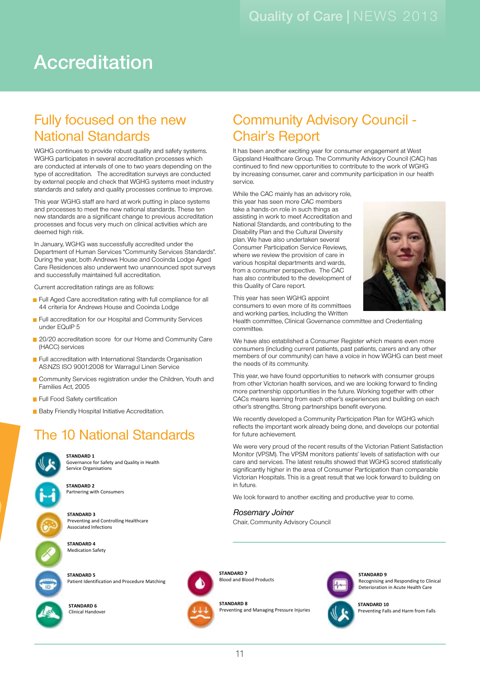Community Advisory Council -

It has been another exciting year for consumer engagement at West Gippsland Healthcare Group. The Community Advisory Council (CAC) has continued to find new opportunities to contribute to the work of WGHG by increasing consumer, carer and community participation in our health

# Accreditation

### Fully focused on the new National Standards

WGHG continues to provide robust quality and safety systems. WGHG participates in several accreditation processes which are conducted at intervals of one to two years depending on the type of accreditation. The accreditation surveys are conducted by external people and check that WGHG systems meet industry standards and safety and quality processes continue to improve.

This year WGHG staff are hard at work putting in place systems and processes to meet the new national standards. These ten new standards are a significant change to previous accreditation processes and focus very much on clinical activities which are deemed high risk.

In January, WGHG was successfully accredited under the Department of Human Services "Community Services Standards". During the year, both Andrews House and Cooinda Lodge Aged Care Residences also underwent two unannounced spot surveys and successfully maintained full accreditation.

Current accreditation ratings are as follows:

- Full Aged Care accreditation rating with full compliance for all 44 criteria for Andrews House and Cooinda Lodge
- Full accreditation for our Hospital and Community Services under EQuIP 5
- <sup>o</sup> 20/20 accreditation score for our Home and Community Care (HACC) services
- Full accreditation with International Standards Organisation AS:NZS ISO 9001:2008 for Warragul Linen Service
- **•** Community Services registration under the Children, Youth and Families Act, 2005
- **•** Full Food Safety certification
- Baby Friendly Hospital Initiative Accreditation.

### **The 10 National Standards**

**STANDARD 1** Governance for Safety and Quality in Health Service Organisations

**STANDARD 2** Partnering with Consumers

**STANDARD 3 Preventing and Controlling Healthcare** Associated Infections

> **STANDARD 4 STANDARD 1** Medication Safety

**STANDARD 5 STANDARD 2** Patient Identification and Procedure Matching

**STANDARD 6 STANDARD 3** Clinical Handover



**STANDARD 7 Prevention Blood Products** 

**STANDARD 9**

**STANDARD 8**



**STANDARD 9** Recognising and Responding to Clinical Deterioration in Acute Health Care



Preventing Falls and Harm from Falls



This year has seen WGHG appoint consumers to even more of its committees and working parties, including the Written

this Quality of Care report.

While the CAC mainly has an advisory role, this year has seen more CAC members take a hands-on role in such things as

National Standards, and contributing to the Disability Plan and the Cultural Diversity plan. We have also undertaken several Consumer Participation Service Reviews where we review the provision of care in various hospital departments and wards, from a consumer perspective. The CAC has also contributed to the development of

Chair's Report

service.

Health committee, Clinical Governance committee and Credentialing committee.

We have also established a Consumer Register which means even more consumers (including current patients, past patients, carers and any other members of our community) can have a voice in how WGHG can best meet the needs of its community.

This year, we have found opportunities to network with consumer groups from other Victorian health services, and we are looking forward to finding more partnership opportunities in the future. Working together with other CACs means learning from each other's experiences and building on each other's strengths. Strong partnerships benefit everyone.

We recently developed a Community Participation Plan for WGHG which reflects the important work already being done, and develops our potential for future achievement.

Monitor (VPSM). The VPSM monitors patients' levels of satisfaction with our care and services. The latest results showed that WGHG scored statistically in future. We were very proud of the recent results of the Victorian Patient Satisfaction significantly higher in the area of Consumer Participation than comparable Victorian Hospitals. This is a great result that we look forward to building on

We look forward to another exciting and productive year to come.

**STANDARD 8** Rosemary Joiner **STANDARD 2**

Chair, Community Advisory Council

Deterioration in Acute Health Care